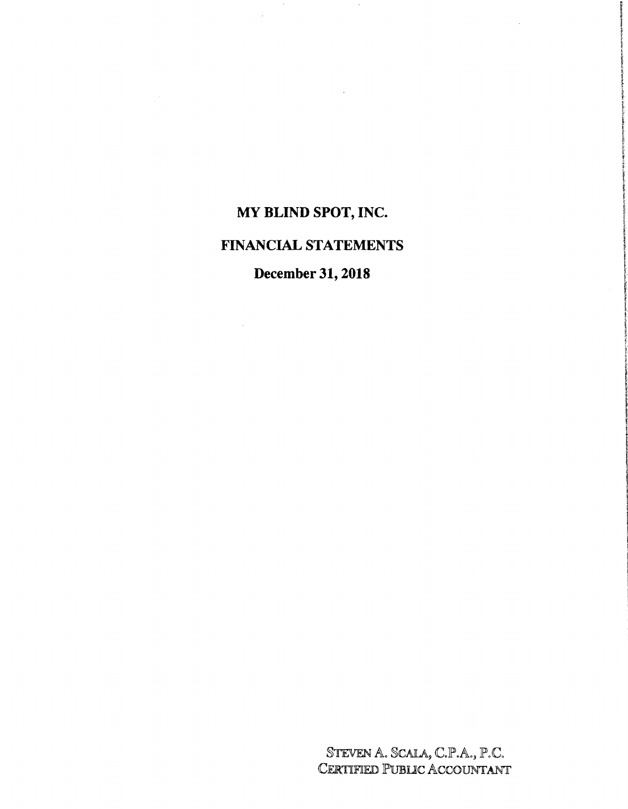# **MY BLIND SPOT, INC.**

# **FINANCIAL STATEMENTS**

# **December 31, 2018**

STEVEN A. SCALA, C.P.A., P.C.<br>Certified Public Accountant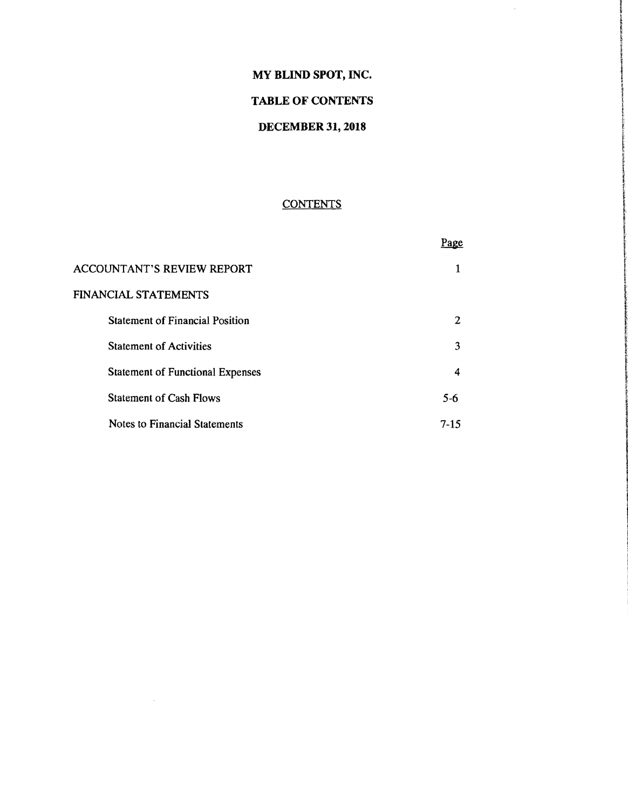# MY BLIND SPOT, INC.

 $\mathcal{L}$ 

# TABLE OF CONTENTS

#### DECEMBER 31, 2018

# **CONTENTS**

|                                         | Page     |
|-----------------------------------------|----------|
| <b>ACCOUNTANT'S REVIEW REPORT</b>       |          |
| <b>FINANCIAL STATEMENTS</b>             |          |
| <b>Statement of Financial Position</b>  | 2        |
| <b>Statement of Activities</b>          | 3        |
| <b>Statement of Functional Expenses</b> | 4        |
| <b>Statement of Cash Flows</b>          | $5 - 6$  |
| Notes to Financial Statements           | $7 - 15$ |

 $\sim$   $\sim$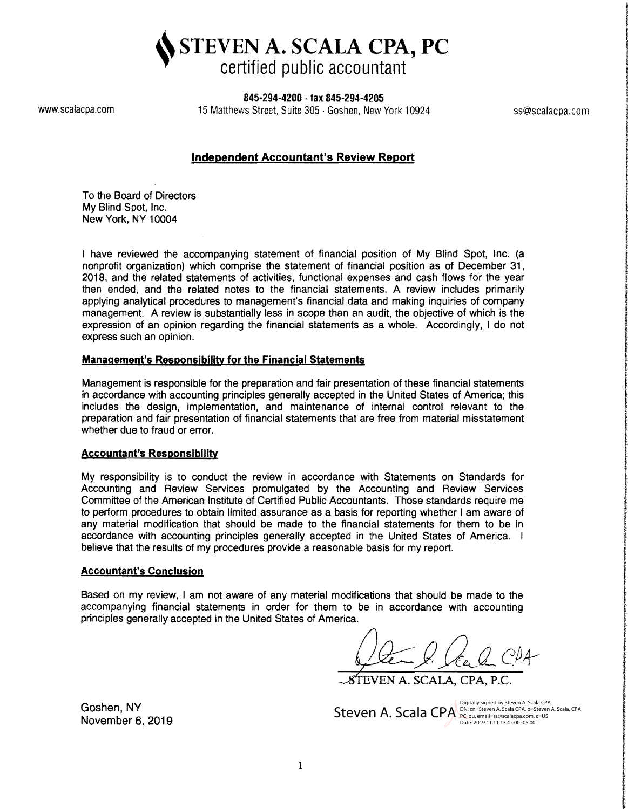STEVEN A. SCALA CPA, PC certified public accountant

845-294-4200 . fax 845-294-4205

www.scalacpa.com 15 Matthews Street, Suite 305 · Goshen, New York 10924 ss@scalacpa.com

## Independent Accountant's Review Report

To the Board of Directors My Blind Spot, Inc. New York, NY 10004

I have reviewed the accompanying statement of financial position of My Blind Spot, Inc. (a nonprofit organization) which comprise the statement of financial position as of December 31. 2018, and the related statements of activities, functional expenses and cash flows for the year then ended, and the related notes to the financial statements. A review includes primarily applying analytical procedures to management's financial data and making inquiries of company management. A review is substantially less in scope than an audit, the objective of which is the expression of an opinion regarding the financial statements as a whole. Accordingly, I do not express such an opinion.

#### Management's Responsibility for the Financial Statements

Management is responsible for the preparation and fair presentation of these financial statements in accordance with accounting principles generally accepted in the United States of America; this includes the design, implementation, and maintenance of internal control relevant to the preparation and fair presentation of financial statements that are free from material misstatement whether due to fraud or error.

#### Accountant's Responsibility

My responsibility is to conduct the review in accordance with Statements on Standards for Accounting and Review Services promulgated by the Accounting and Review Services Committee of the American Institute of Certified Public Accountants. Those standards require me to perform procedures to obtain limited assurance as a basis for reporting whether I am aware of any material modification that should be made to the financial statements for them to be in accordance with accounting principles generally accepted in the United States of America. I believe that the results of my procedures provide a reasonable basis for my report.

#### Accountant's Conclusion

Based on my review, I am not aware of any material modifications that should be made to the accompanying financial statements in order for them to be in accordance with accounting principles generally accepted in the United States of America.

STEVEN A. SCALA, CPA, P.C.

 $\mathsf{Steven}\xspace$  A. Scala  $\mathsf{CPA}\xspace^{\text{(Digitally signed by Steven A. Scalar CPA}}_{\mathsf{PC} \xspace}$  A. Scala, CPA  $\mathsf{PCA}\xspace^{\text{(Digitally signed by Steven A. Scalar CPA}}$ Date: 2019.11.11 13:42:00 -05'00'

f

tantiniikantosa

**Include and in Manhood Committee** 

Goshen, NY November 6,2019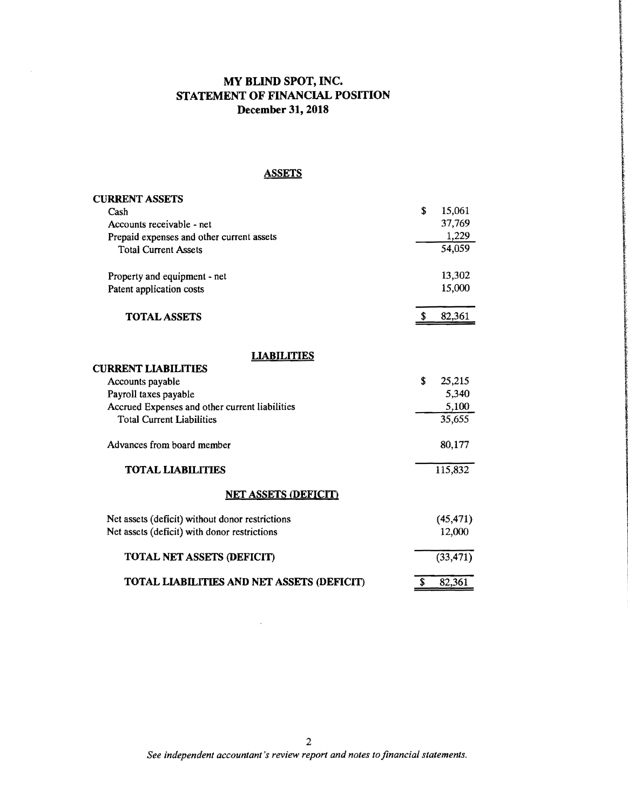# **MY BLIND SPOT, INC. STATEMENT OF FINANCIAL POSITION December 31, 2018**

**ASSETS** 

| <b>CURRENT ASSETS</b>                           |    |           |
|-------------------------------------------------|----|-----------|
| Cash                                            | \$ | 15,061    |
| Accounts receivable - net                       |    | 37,769    |
| Prepaid expenses and other current assets       |    | 1,229     |
| <b>Total Current Assets</b>                     |    | 54,059    |
| Property and equipment - net                    |    | 13,302    |
| Patent application costs                        |    | 15,000    |
| <b>TOTAL ASSETS</b>                             | S. | 82,361    |
| <b>LIABILITIES</b>                              |    |           |
| <b>CURRENT LIABILITIES</b>                      |    |           |
| Accounts payable                                | \$ | 25,215    |
| Payroll taxes payable                           |    | 5,340     |
| Accrued Expenses and other current liabilities  |    | 5,100     |
| <b>Total Current Liabilities</b>                |    | 35,655    |
| Advances from board member                      |    | 80,177    |
| <b>TOTAL LIABILITIES</b>                        |    | 115,832   |
| <b>NET ASSETS (DEFICIT)</b>                     |    |           |
| Net assets (deficit) without donor restrictions |    | (45, 471) |
| Net assets (deficit) with donor restrictions    |    | 12,000    |
| <b>TOTAL NET ASSETS (DEFICIT)</b>               |    | (33, 471) |
| TOTAL LIABILITIES AND NET ASSETS (DEFICIT)      | \$ | 82,361    |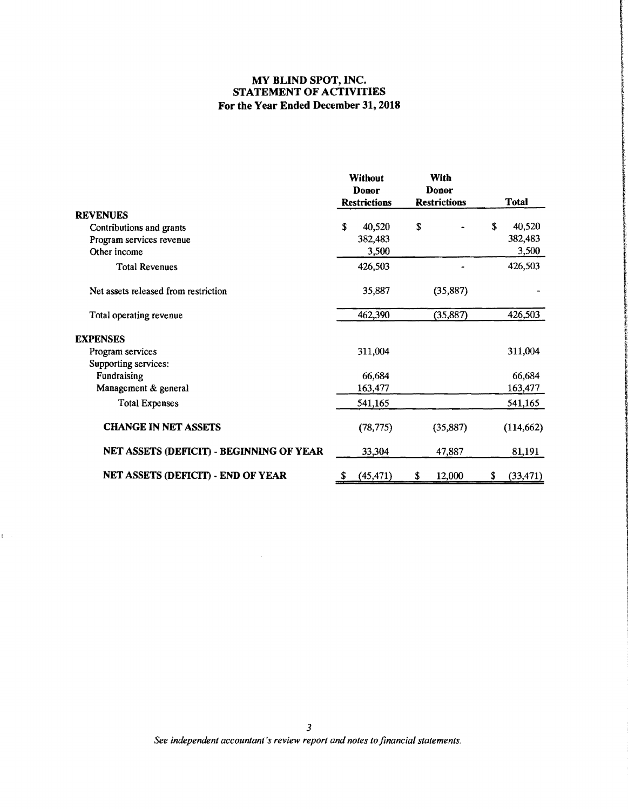# **MY BLIND SPOT, INC. STATEMENT OF ACTIVITIES For the Year Ended December 31, 2018**

|                                          |   | <b>Without</b><br>Donor<br><b>Restrictions</b> | With<br>Donor<br><b>Restrictions</b> |    | <b>Total</b> |
|------------------------------------------|---|------------------------------------------------|--------------------------------------|----|--------------|
| <b>REVENUES</b>                          |   |                                                |                                      |    |              |
| Contributions and grants                 | S | 40,520                                         | \$                                   | S  | 40,520       |
| Program services revenue                 |   | 382,483                                        |                                      |    | 382,483      |
| Other income                             |   | 3,500                                          |                                      |    | 3,500        |
| <b>Total Revenues</b>                    |   | 426,503                                        |                                      |    | 426,503      |
| Net assets released from restriction     |   | 35,887                                         | (35, 887)                            |    |              |
| Total operating revenue                  |   | 462,390                                        | (35, 887)                            |    | 426,503      |
| <b>EXPENSES</b>                          |   |                                                |                                      |    |              |
| Program services                         |   | 311,004                                        |                                      |    | 311,004      |
| Supporting services:                     |   |                                                |                                      |    |              |
| Fundraising                              |   | 66,684                                         |                                      |    | 66,684       |
| Management & general                     |   | 163,477                                        |                                      |    | 163,477      |
| <b>Total Expenses</b>                    |   | 541,165                                        |                                      |    | 541,165      |
| <b>CHANGE IN NET ASSETS</b>              |   | (78, 775)                                      | (35,887)                             |    | (114, 662)   |
| NET ASSETS (DEFICIT) - BEGINNING OF YEAR |   | 33,304                                         | 47,887                               |    | 81,191       |
| NET ASSETS (DEFICIT) - END OF YEAR       |   | (45, 471)                                      | \$<br>12,000                         | \$ | (33, 471)    |

 $\hat{\mathcal{A}}$ 

 $\mathbf{f}^{\left(1\right)}$  ,  $\mathbf{f}^{\left(2\right)}$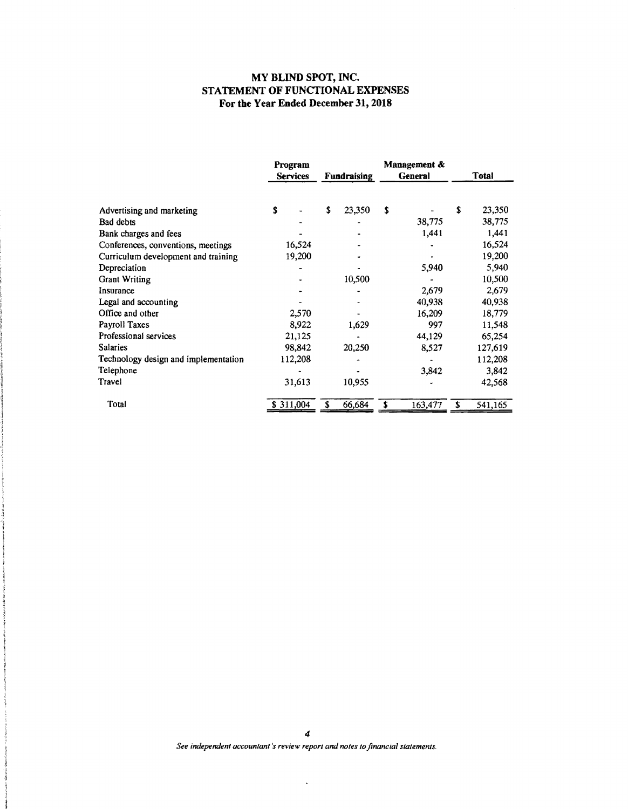#### **MY BLIND SPOT, INC. STATEMENT OF FUNCTIONAL EXPENSES For the Year Ended December 31,2018**

 $\bar{z}$ 

|                                      | Program<br><b>Services</b> | <b>Fundraising</b> | Management &<br><b>General</b> | <b>Total</b> |
|--------------------------------------|----------------------------|--------------------|--------------------------------|--------------|
| Advertising and marketing            | \$                         | \$<br>23,350       | \$                             | S<br>23,350  |
| Bad debts                            |                            |                    | 38,775                         | 38,775       |
| Bank charges and fees                |                            |                    | 1,441                          | 1,441        |
| Conferences, conventions, meetings   | 16,524                     |                    |                                | 16,524       |
| Curriculum development and training  | 19,200                     |                    |                                | 19,200       |
| Depreciation                         |                            |                    | 5,940                          | 5,940        |
| <b>Grant Writing</b>                 |                            | 10,500             |                                | 10,500       |
| Insurance                            |                            |                    | 2,679                          | 2,679        |
| Legal and accounting                 |                            |                    | 40,938                         | 40,938       |
| Office and other                     | 2,570                      |                    | 16,209                         | 18,779       |
| Payroll Taxes                        | 8,922                      | 1,629              | 997                            | 11,548       |
| Professional services                | 21,125                     |                    | 44,129                         | 65,254       |
| <b>Salaries</b>                      | 98,842                     | 20,250             | 8,527                          | 127,619      |
| Technology design and implementation | 112,208                    |                    |                                | 112,208      |
| Telephone                            |                            |                    | 3,842                          | 3,842        |
| Travel                               | 31,613                     | 10,955             |                                | 42,568       |
| Total                                | \$311,004                  | 66,684             | 163,477                        | 541,165<br>S |

See independent accountant's review report and notes to financial statements.

 $\ddot{\phantom{0}}$ 

**START**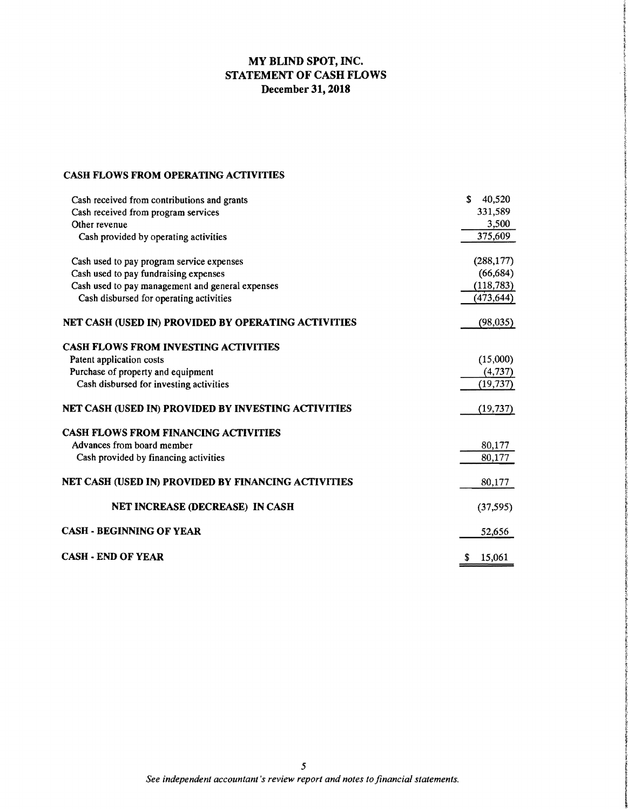# **MY BLIND SPOT, INC. STATEMENT OF CASH FLOWS December 31,2018**

## **CASH FLOWS FROM OPERATING ACTIVITIES**

| Cash received from contributions and grants         | S<br>40,520 |
|-----------------------------------------------------|-------------|
| Cash received from program services                 | 331,589     |
| Other revenue                                       | 3,500       |
| Cash provided by operating activities               | 375,609     |
| Cash used to pay program service expenses           | (288, 177)  |
| Cash used to pay fundraising expenses               | (66, 684)   |
| Cash used to pay management and general expenses    | (118, 783)  |
| Cash disbursed for operating activities             | (473, 644)  |
| NET CASH (USED IN) PROVIDED BY OPERATING ACTIVITIES | (98,035)    |
| <b>CASH FLOWS FROM INVESTING ACTIVITIES</b>         |             |
| Patent application costs                            | (15,000)    |
| Purchase of property and equipment                  | (4, 737)    |
| Cash disbursed for investing activities             | (19, 737)   |
| NET CASH (USED IN) PROVIDED BY INVESTING ACTIVITIES | (19, 737)   |
| <b>CASH FLOWS FROM FINANCING ACTIVITIES</b>         |             |
| Advances from board member                          | 80,177      |
| Cash provided by financing activities               | 80,177      |
| NET CASH (USED IN) PROVIDED BY FINANCING ACTIVITIES | 80,177      |
| <b>NET INCREASE (DECREASE) IN CASH</b>              | (37, 595)   |
| <b>CASH - BEGINNING OF YEAR</b>                     | 52,656      |
| <b>CASH - END OF YEAR</b>                           | 15,061<br>S |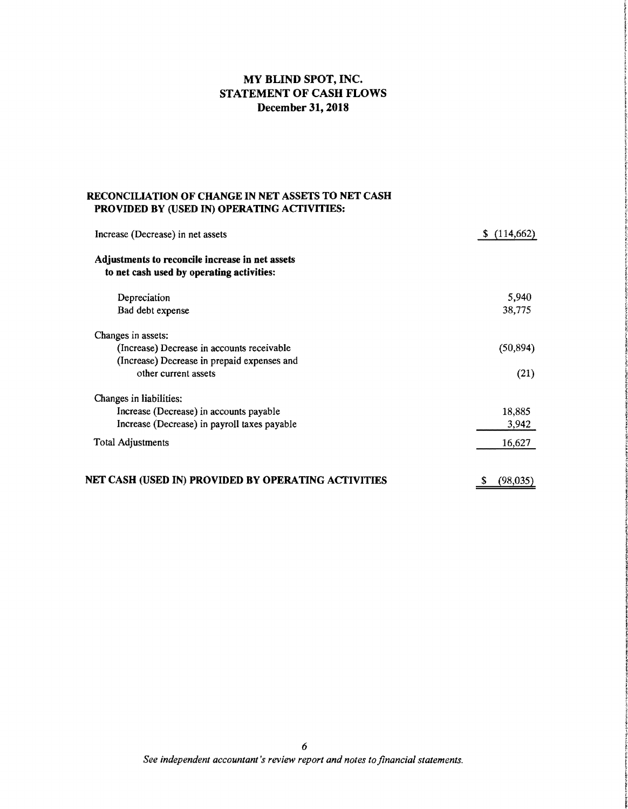# MY BLIND SPOT, INC. STATEMENT OF CASH FLOWS December 31, 2018

#### RECONCILIATION OF CHANGE IN NET ASSETS TO NET CASH PROVIDED BY (USED IN) OPERATING ACTIVITIES:

| Increase (Decrease) in net assets                                                            | (114, 662)<br>S |
|----------------------------------------------------------------------------------------------|-----------------|
| Adjustments to reconcile increase in net assets<br>to net cash used by operating activities: |                 |
| Depreciation                                                                                 | 5,940           |
| Bad debt expense                                                                             | 38,775          |
| Changes in assets:                                                                           |                 |
| (Increase) Decrease in accounts receivable                                                   | (50, 894)       |
| (Increase) Decrease in prepaid expenses and                                                  |                 |
| other current assets                                                                         | (21)            |
| Changes in liabilities:                                                                      |                 |
| Increase (Decrease) in accounts payable                                                      | 18,885          |
| Increase (Decrease) in payroll taxes payable                                                 | 3,942           |
| <b>Total Adjustments</b>                                                                     | 16,627          |
| NET CASH (USED IN) PROVIDED BY OPERATING ACTIVITIES                                          | (98,035)        |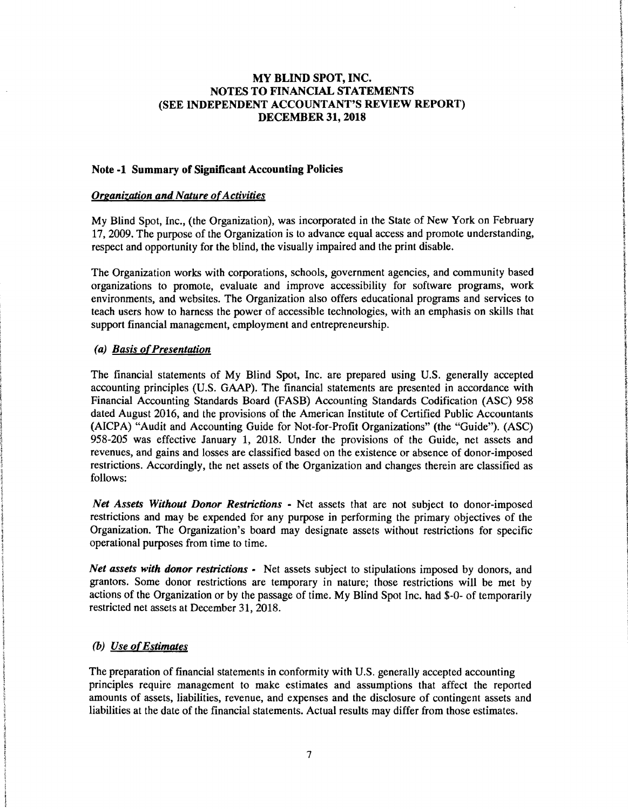#### Note·l Summary of Significant Accounting Policies

#### *Organization and Nature of Activities*

My Blind Spot, Inc., (the Organization), was incorporated in the State of New York on February 17,2009. The purpose of the Organization is to advance equal access and promote understanding, respect and opportunity for the blind, the visually impaired and the print disable.

The Organization works with corporations, schools, government agencies, and community based organizations to promote, evaluate and improve accessibility for software programs, work environments, and websites. The Organization also offers educational programs and services to teach users how to harness the power of accessible technologies, with an emphasis on skills that support financial management, employment and entrepreneurship.

## *(a)* Basis of Presentation

The financial statements of My Blind Spot, Inc. are prepared using U.S. generally accepted accounting principles (U.S. GAAP). The financial statements are presented in accordance with Financial Accounting Standards Board (FASB) Accounting Standards Codification (ASC) 958 dated August 2016, and the provisions of the American Institute of Certified Public Accountants (AICPA) "Audit and Accounting Guide for Not-for-Profit Organizations" (the "Guide"). (ASC) 958-205 was effective January 1, 2018. Under the provisions of the Guide, net assets and revenues, and gains and losses are classified based on the existence or absence of donor-imposed restrictions. Accordingly, the net assets of the Organization and changes therein are classified as follows:

*Net Assets Without Donor Restrictions·* Net assets that are not subject to donor-imposed restrictions and may be expended for any purpose in performing the primary objectives of the Organization. The Organization's board may designate assets without restrictions for specific operational purposes from time to time.

*Net assets with donor restrictions -* Net assets subject to stipulations imposed by donors, and grantors. Some donor restrictions are temporary in nature; those restrictions will be met by actions of the Organization or by the passage of time. My Blind Spot Inc. had \$-0- of temporarily restricted net assets at December 31, 2018.

#### *(b) Use ofEstimates*

The preparation of financial statements in conformity with U.S. generally accepted accounting principles require management to make estimates and assumptions that affect the reported amounts of assets, liabilities, revenue, and expenses and the disclosure of contingent assets and liabilities at the date of the financial statements. Actual results may differ from those estimates.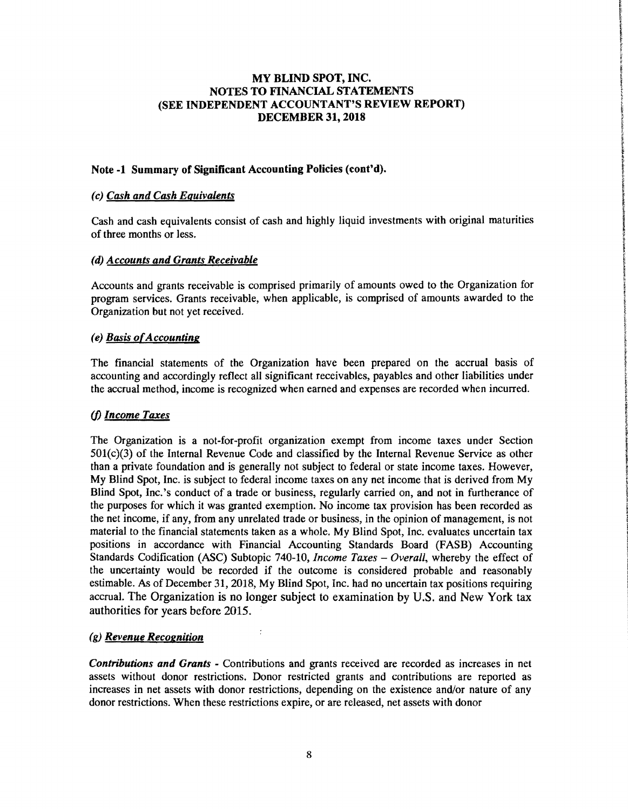## Note -1 Summary of Significant Accounting Policies (cont'd).

#### *(c) Cash and Cash Equivalents*

Cash and cash equivalents consist of cash and highly liquid investments with original maturities of three months or less.

#### *(d) Accounts and Grants Receivable*

Accounts and grants receivable is comprised primarily of amounts owed to the Organization for program services. Grants receivable, when applicable, is comprised of amounts awarded to the Organization but not yet received.

#### *(e) Basis ofAccounting*

The financial statements of the Organization have been prepared on the accrual basis of accounting and accordingly reflect all significant receivables, payables and other liabilities under the accrual method, income is recognized when earned and expenses are recorded when incurred.

## *(j) Income Taxes*

The Organization is a not-for-profit organization exempt from income taxes under Section 501(c)(3) of the Internal Revenue Code and classified by the Internal Revenue Service as other than a private foundation and is generally not subject to federal or state income taxes. However, My Blind Spot, Inc. is subject to federal income taxes on any net income that is derived from My Blind Spot, Inc.'s conduct of a trade or business, regularly carried on, and not in furtherance of the purposes for which it was granted exemption. No income tax provision has been recorded as the net income, if any, from any unrelated trade or business, in the opinion of management, is not material to the financial statements taken as a whole. My Blind Spot, Inc. evaluates uncertain tax positions in accordance with Financial Accounting Standards Board (FASB) Accounting Standards Codification (ASC) Subtopic 740-10, *Income Taxes - Overall*, whereby the effect of the uncertainty would be recorded if the outcome is considered probable and reasonably estimable. As of December 31, 2018, My Blind Spot, Inc. had no uncertain tax positions requiring accrual. The Organization is no longer subject to examination by U.S. and New York tax authorities for years before 2015.

## *(g) Revenue Recognition*

*Contributions and Grants* - Contributions and grants received are recorded as increases in net assets without donor restrictions. Donor restricted grants and contributions are reported as increases in net assets with donor restrictions, depending on the existence and/or nature of any donor restrictions. When these restrictions expire, or are released, net assets with donor

 $\ddot{\cdot}$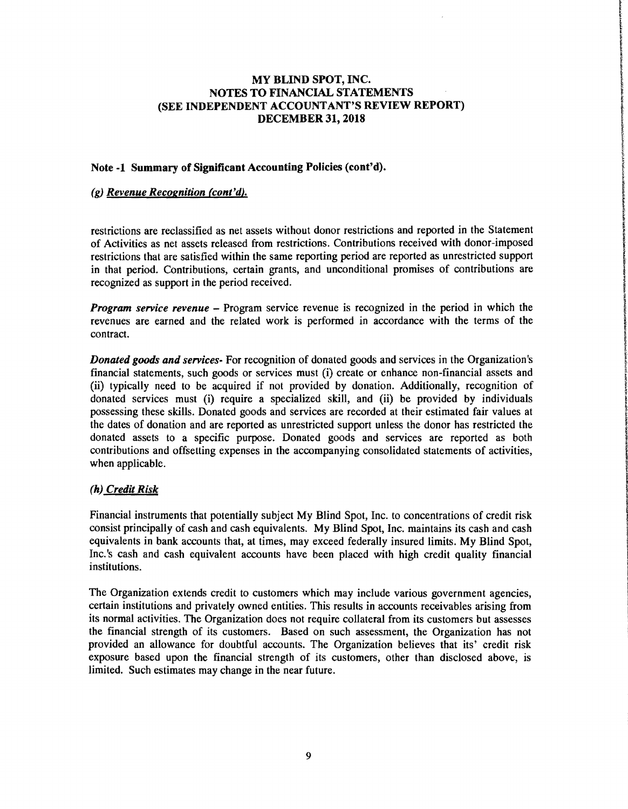#### Note -1 Summary of Significant Accounting Policies (cont'd).

#### *(g) Revenue Recognition (cont'd).*

restrictions are reclassified as net assets without donor restrictions and reported in the Statement of Activities as net assets released from restrictions. Contributions received with donor-imposed restrictions that are satisfied within the same reporting period are reported as unrestricted support in that period. Contributions, certain grants, and unconditional promises of contributions are recognized as support in the period received.

*Program service revenue* – Program service revenue is recognized in the period in which the revenues are earned and the related work is performed in accordance with the terms of the contract.

*Donated goods and services-* For recognition of donated goods and services in the Organization's financial statements, such goods or services must (i) create or enhance non-financial assets and (ii) typically need to be acquired if not provided by donation. Additionally, recognition of donated services must (i) require a specialized skill, and (ii) be provided by individuals possessing these skills. Donated goods and services are recorded at their estimated fair values at the dates of donation and are reported as unrestricted support unless the donor has restricted the donated assets to a specific purpose. Donated goods and services are reported as both contributions and offsetting expenses in the accompanying consolidated statements of activities, when applicable.

## (h) *Credit Risk*

Financial instruments that potentially subject My Blind Spot, Inc. to concentrations of credit risk consist principally of cash and cash equivalents. My Blind Spot, Inc. maintains its cash and cash equivalents in bank accounts that, at times, may exceed federally insured limits. My Blind Spot, Inc.'s cash and cash equivalent accounts have been placed with high credit quality financial institutions.

The Organization extends credit to customers which may include various government agencies, certain institutions and privately owned entities. This results in accounts receivables arising from its normal activities. The Organization does not require collateral from its customers but assesses the financial strength of its customers. Based on such assessment, the Organization has not provided an allowance for doubtful accounts. The Organization believes that its' credit risk exposure based upon the financial strength of its customers, other than disclosed above, is limited. Such estimates may change in the near future.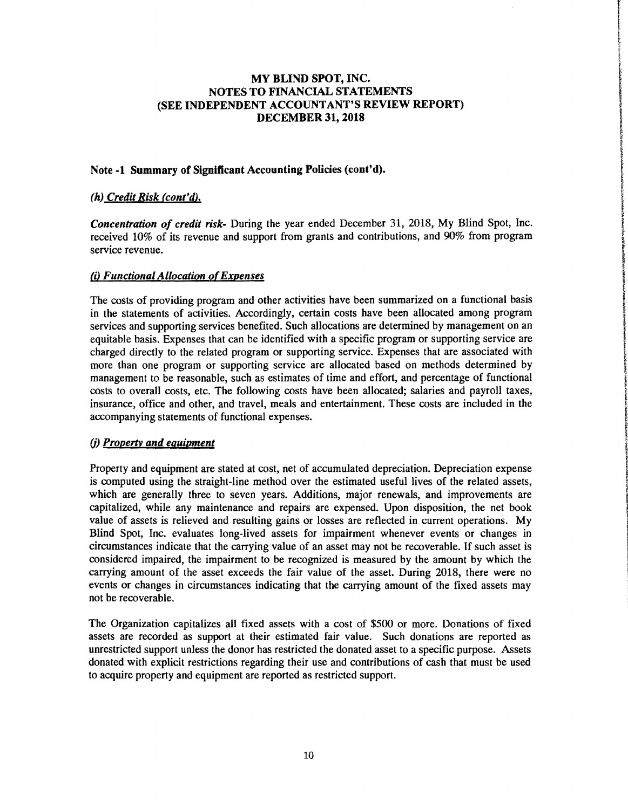## Note·l Summary of Significant Accounting Policies (cont'd).

## (h) *Credit Risk (cont'd).*

*Concentration of credit risk·* During the year ended December 31, 2018, My Blind Spot, Inc. received 10% of its revenue and support from grants and contributions, and 90% from program service revenue.

## *(i) Functional Allocation ofExpenses*

The costs of providing program and other activities have been summarized on a functional basis in the statements of activities. Accordingly, certain costs have been allocated among program services and supporting services benefited. Such allocations are determined by management on an equitable basis. Expenses that can be identified with a specific program or supporting service are charged directly to the related program or supporting service. Expenses that are associated with more than one program or supporting service are allocated based on methods determined by management to be reasonable, such as estimates of time and effort, and percentage of functional costs to overall costs, etc. The following costs have been allocated; salaries and payroll taxes, insurance, office and other, and travel, meals and entertainment. These costs are included in the accompanying statements of functional expenses.

## (j) *Propertv and equipment*

Property and equipment are stated at cost, net of accumulated depreciation. Depreciation expense is computed using the straight-line method over the estimated useful lives of the related assets, which are generally three to seven years. Additions, major renewals, and improvements are capitalized, while any maintenance and repairs are expensed. Upon disposition, the net book value of assets is relieved and resulting gains or losses are reflected in current operations. My Blind Spot, Inc. evaluates long-lived assets for impairment whenever events or changes in circumstances indicate that the carrying value of an asset may not be recoverable. If such asset is considered impaired, the impairment to be recognized is measured by the amount by which the carrying amount of the asset exceeds the fair value of the asset. During 2018, there were no events or changes in circumstances indicating that the carrying amount of the fixed assets may not be recoverable.

The Organization capitalizes all fixed assets with a cost of \$500 or more. Donations of fixed assets are recorded as support at their estimated fair value. Such donations are reported as unrestricted support unless the donor has restricted the donated asset to a specific purpose. Assets donated with explicit restrictions regarding their use and contributions of cash that must be used to acquire property and equipment are reported as restricted support.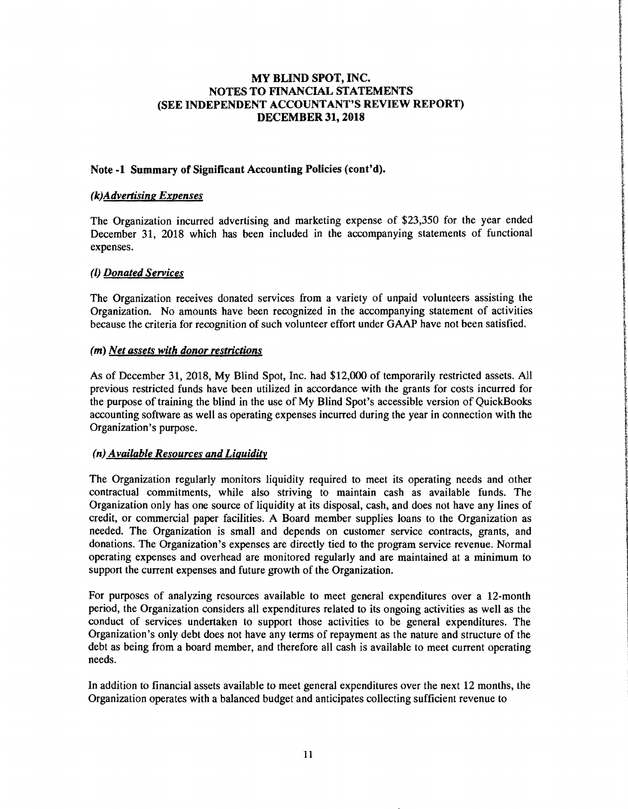## Note·l Summary of Significant Accounting Policies (cont'd).

#### *(k)AdveTtising Expenses*

The Organization incurred advertising and marketing expense of \$23,350 for the year ended December 31, 2018 which has been included in the accompanying statements of functional expenses.

#### *(I) Donated Services*

The Organization receives donated services from a variety of unpaid volunteers assisting the Organization. No amounts have been recognized in the accompanying statement of activities because the criteria for recognition of such volunteer effort under GAAP have not been satisfied.

#### *(m) Net assets with donor restrictions*

As of December 31, 2018, My Blind Spot, Inc. had \$12,000 of temporarily restricted assets. All previous restricted funds have been utilized in accordance with the grants for costs incurred for the purpose of training the blind in the use of My Blind Spot's accessible version of QuickBooks accounting software as well as operating expenses incurred during the year in connection with the Organization's purpose.

## *(n) Available Resources and Liquiditv*

The Organization regularly monitors liquidity required to meet its operating needs and other contractual commitments, while also striving to maintain cash as available funds. The Organization only has one source of liquidity at its disposal, cash, and does not have any lines of credit, or commercial paper facilities. A Board member supplies loans to the Organization as needed. The Organization is small and depends on customer service contracts, grants, and donations. The Organization's expenses are directly tied to the program service revenue. Normal operating expenses and overhead are monitored regularly and are maintained at a minimum to support the current expenses and future growth of the Organization.

For purposes of analyzing resources available to meet general expenditures over a 12-month period, the Organization considers all expenditures related to its ongoing activities as well as the conduct of services undertaken to support those activities to be general expenditures. The Organization's only debt does not have any terms of repayment as the nature and structure of the debt as being from a board member, and therefore all cash is available to meet current operating needs.

In addition to financial assets available to meet general expenditures over the next 12 months, the Organization operates with a balanced budget and anticipates collecting sufficient revenue to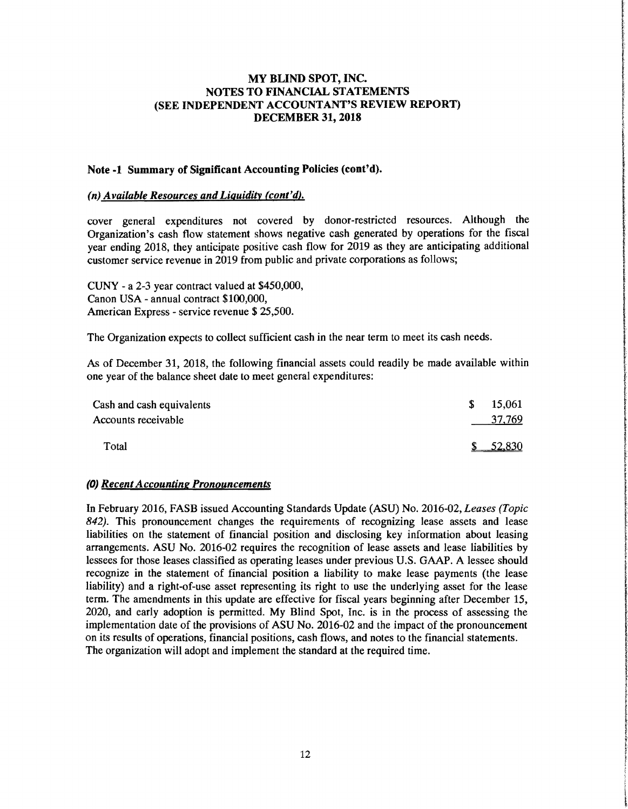f **information** I', ali vezen adalektoa.<br>Airotzailea adalektoa

i

i<br>Solombiliza

t

**for the property** 

*<i><u>filiation</u>* 

the objects in

of her articles on Autobachine ilmetrianis

**International Address to their** 

I

**International Control Control Angle** 

#### Note·1 Summary of Significant Accounting Policies (cont'd).

#### *(n) Available Resources and Liquidity (cont'd).*

cover general expenditures not covered by donor-restricted resources. Although the Cover general expenditures not covered by donor-restricted resources. Although the<br>Organization's cash flow statement shows negative cash generated by operations for the fiscal<br>Very ending 2018, they entiminate positive c year ending 2018, they anticipate positive cash flow for 2019 as they are anticipating additional customer service revenue in 2019 from public and private corporations as follows;

CUNY - a 2-3 year contract valued at \$450,000, Canon USA - annual contract \$100,000, The Organization expects to collect sufficient cash in the near term to meet its cash needs.

As of December 31, 2018, the following financial assets could readily be made available within one year of the balance sheet date to meet general expenditures:

| Cash and cash equivalents | 15,061<br>S. |  |
|---------------------------|--------------|--|
| Accounts receivable       | 37,769       |  |
| Total                     | 52.830       |  |

#### *(0) Recent Accounting Pronouncements*

In February 2016, FASB issued Accounting Standards Update (ASU) No. 2016-02, *Leases (Topic*  842). This pronouncement changes the requirements of recognizing lease assets and lease liabilities on the statement of financial position and disclosing key information about leasing arrangements. ASU No. 2016-02 requires liabilities on the statement of financial position and disclosing key information about leasing lessees for those leases classified as operating leases under previous U.S. GAAP. A lessee should recognize in the statement of financial position a liability to make lease payments (the lease liability) and a right-of-use asset representing its right to use the underlying asset for the lease term. The amendments in this update are effective for fiscal years beginning after December 15, 2020, and early adoption is permitted. My Blind Spot, Inc. is in the process of assessing the implementation date of the provisions of ASU No. 2016-02 and the impact of the pronouncement on its results of operations, financial positions, cash flows, and notes to the financial statements. The organization will adopt and implement the standard at the required time.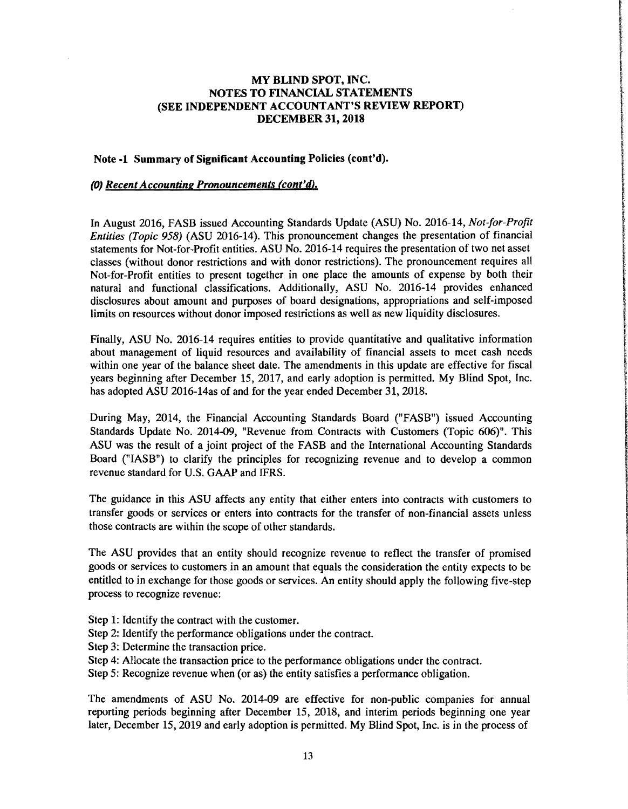#### Note -1 Summary of Significant Accounting Policies (cont'd).

#### (0) *Recent Accounting Pronouncements (cont'd).*

In August 2016, FASB issued Accounting Standards Update (ASU) No. 2016-14, *Not-far-Profit Entities* (Topic 958) (ASU 2016-14). This pronouncement changes the presentation of financial statements for Not-for-Profit entities. ASU No. 2016-14 requires the presentation of two net asset classes (without donor restrictions and with donor restrictions). The pronouncement requires all Not-for-Profit entities to present together in one place the amounts of expense by both their natural and functional classifications. Additionally, ASU No. 2016-14 provides enhanced disclosures about amount and purposes of board designations, appropriations and self-imposed limits on resources without donor imposed restrictions as well as new liquidity disclosures.

Finally, ASU No. 2016-14 requires entities to provide quantitative and qualitative information about management of liquid resources and availability of financial assets to meet cash needs within one year of the balance sheet date. The amendments in this update are effective for fiscal years beginning after December 15, 2017, and early adoption is permitted. My Blind Spot, Inc. has adopted ASU 2016-14as of and for the year ended December 31, 2018.

During May, 2014, the Financial Accounting Standards Board ("FASB") issued Accounting Standards Update No. 2014-09, "Revenue from Contracts with Customers (Topic 606)". This ASU was the result of a joint project of the FASB and the International Accounting Standards Board ("IASB") to clarify the principles for recognizing revenue and to develop a common revenue standard for U.S. GAAP and IFRS.

The guidance in this ASU affects any entity that either enters into contracts with customers to transfer goods or services or enters into contracts for the transfer of non-financial assets unless those contracts are within the scope of other standards.

The ASU provides that an entity should recognize revenue to reflect the transfer of promised goods or services to customers in an amount that equals the consideration the entity expects to be entitled to in exchange for those goods or services. An entity should apply the following five-step process to recognize revenue:

- Step 1: Identify the contract with the customer.
- Step 2: Identify the performance obligations under the contract.
- Step 3: Determine the transaction price.
- Step 4: Allocate the transaction price to the performance obligations under the contract.
- Step 5: Recognize revenue when (or as) the entity satisfies a performance obligation.

The amendments of ASU No. 2014-09 are effective for non-public companies for annual reporting periods beginning after December 15, 2018, and interim periods beginning one year later, December 15, 2019 and early adoption is permitted. My Blind Spot, Inc. is in the process of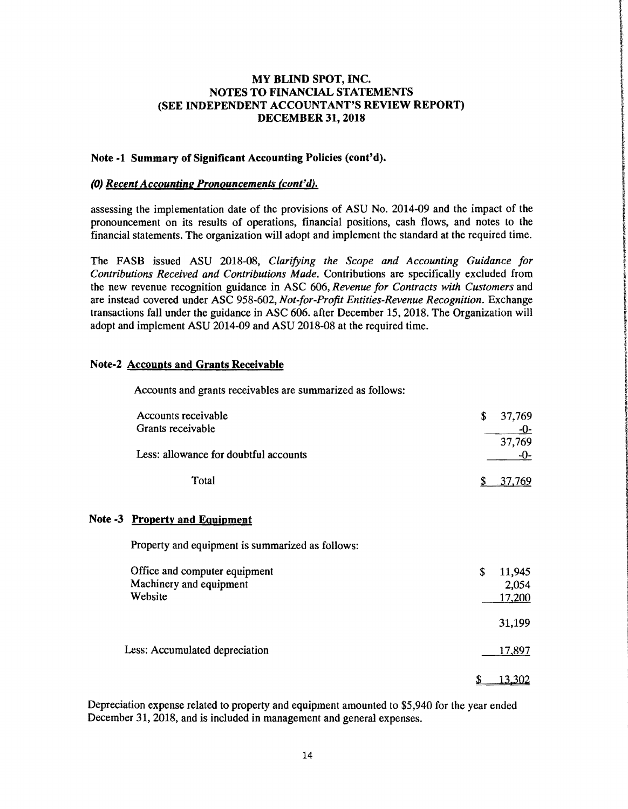## Note·1 Summary of Significant Accounting Policies (cont'd).

#### (0) *Recent Accounting Pronouncements (cont'd).*

assessing the implementation date of the provisions of ASU No. 2014-09 and the impact of the pronouncement on its results of operations, financial positions, cash flows, and notes to the financial statements. The organization will adopt and implement the standard at the required time.

The FASB issued ASU 2018-08, *Clarifying the Scope and Accounting Guidance lor Contributions Received and Contributions Made.* Contributions are specifically excluded from the new revenue recognition guidance in ASC 606, *Revenue for Contracts with Customers* and are instead covered under ASC 958-602, *Not-for-Profit Entities-Revenue Recognition*. Exchange transactions fall under the guidance in ASC 606. after December 15,2018. The Organization will adopt and implement ASU 2014-09 and ASU 2018-08 at the required time.

#### Note·2 Accounts and Grants Receivable

Note -3

Accounts and grants receivables are summarized as follows:

| Accounts receivable<br>Grants receivable                            | \$<br>37,769<br>-0-<br>37,769   |
|---------------------------------------------------------------------|---------------------------------|
| Less: allowance for doubtful accounts                               | $-0-$                           |
| Total                                                               | 769                             |
| <b>Property and Equipment</b>                                       |                                 |
| Property and equipment is summarized as follows:                    |                                 |
| Office and computer equipment<br>Machinery and equipment<br>Website | \$<br>11,945<br>2,054<br>17,200 |

Less: Accumulated depreciation 17,897

\$ 13.302

31,199

Depreciation expense related to property and equipment amounted to \$5,940 for the year ended December 31, 2018, and is included in management and general expenses.